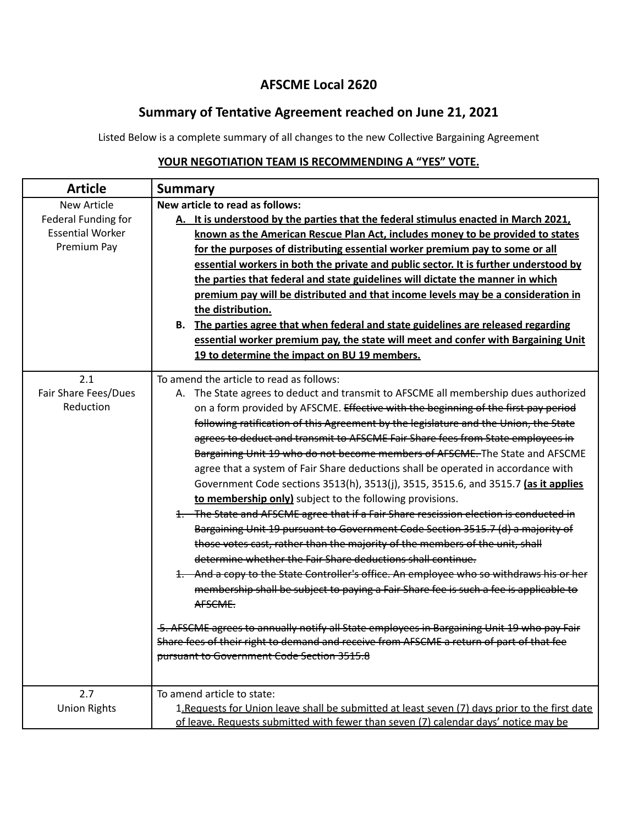## **AFSCME Local 2620**

## **Summary of Tentative Agreement reached on June 21, 2021**

Listed Below is a complete summary of all changes to the new Collective Bargaining Agreement

| <b>Article</b>                                                                      | <b>Summary</b>                                                                                                                                                                                                                                                                                                                                                                                                                                                                                                                                                                                                                                                                                                                                                                                                                                                                                                                                                                                                                                                                                                                                                                                                                                                                                                                                                                                                                                                                             |
|-------------------------------------------------------------------------------------|--------------------------------------------------------------------------------------------------------------------------------------------------------------------------------------------------------------------------------------------------------------------------------------------------------------------------------------------------------------------------------------------------------------------------------------------------------------------------------------------------------------------------------------------------------------------------------------------------------------------------------------------------------------------------------------------------------------------------------------------------------------------------------------------------------------------------------------------------------------------------------------------------------------------------------------------------------------------------------------------------------------------------------------------------------------------------------------------------------------------------------------------------------------------------------------------------------------------------------------------------------------------------------------------------------------------------------------------------------------------------------------------------------------------------------------------------------------------------------------------|
| <b>New Article</b><br>Federal Funding for<br><b>Essential Worker</b><br>Premium Pay | New article to read as follows:<br>A. It is understood by the parties that the federal stimulus enacted in March 2021,<br>known as the American Rescue Plan Act, includes money to be provided to states<br>for the purposes of distributing essential worker premium pay to some or all<br>essential workers in both the private and public sector. It is further understood by<br>the parties that federal and state guidelines will dictate the manner in which<br>premium pay will be distributed and that income levels may be a consideration in<br>the distribution.<br>The parties agree that when federal and state guidelines are released regarding<br>В.<br>essential worker premium pay, the state will meet and confer with Bargaining Unit<br>19 to determine the impact on BU 19 members.                                                                                                                                                                                                                                                                                                                                                                                                                                                                                                                                                                                                                                                                                  |
| 2.1<br>Fair Share Fees/Dues<br>Reduction                                            | To amend the article to read as follows:<br>A. The State agrees to deduct and transmit to AFSCME all membership dues authorized<br>on a form provided by AFSCME. Effective with the beginning of the first pay period<br>following ratification of this Agreement by the legislature and the Union, the State<br>agrees to deduct and transmit to AFSCME Fair Share fees from State employees in<br>Bargaining Unit 19 who do not become members of AFSCME. The State and AFSCME<br>agree that a system of Fair Share deductions shall be operated in accordance with<br>Government Code sections 3513(h), 3513(j), 3515, 3515.6, and 3515.7 (as it applies<br>to membership only) subject to the following provisions.<br>1. The State and AFSCME agree that if a Fair Share rescission election is conducted in<br>Bargaining Unit 19 pursuant to Government Code Section 3515.7 (d) a majority of<br>those votes cast, rather than the majority of the members of the unit, shall<br>determine whether the Fair Share deductions shall continue.<br>1. And a copy to the State Controller's office. An employee who so withdraws his or her<br>membership shall be subject to paying a Fair Share fee is such a fee is applicable to<br>AFSCME.<br>5. AFSCME agrees to annually notify all State employees in Bargaining Unit 19 who pay Fair<br>Share fees of their right to demand and receive from AFSCME a return of part of that fee<br>pursuant to Government Code Section 3515.8 |
| 2.7<br><b>Union Rights</b>                                                          | To amend article to state:<br>1. Requests for Union leave shall be submitted at least seven (7) days prior to the first date<br>of leave. Requests submitted with fewer than seven (7) calendar days' notice may be                                                                                                                                                                                                                                                                                                                                                                                                                                                                                                                                                                                                                                                                                                                                                                                                                                                                                                                                                                                                                                                                                                                                                                                                                                                                        |

## **YOUR NEGOTIATION TEAM IS RECOMMENDING A "YES" VOTE.**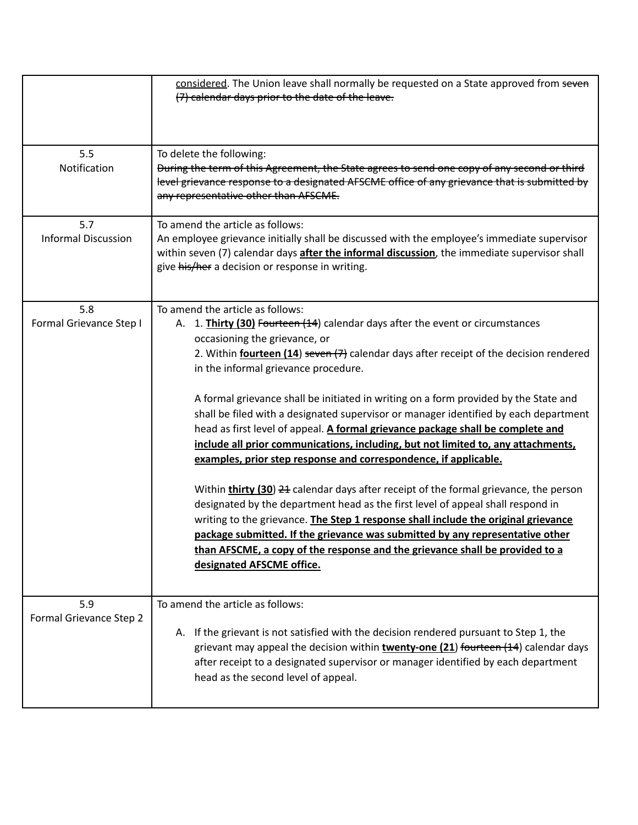|                                   | considered. The Union leave shall normally be requested on a State approved from seven<br>(7) calendar days prior to the date of the leave.                                                                                                                                                                                                                                                                                                                                                                                                                                                                                                                                                                                                                                                                                                                                                                                                                                                                                                                                                                                                                                                        |
|-----------------------------------|----------------------------------------------------------------------------------------------------------------------------------------------------------------------------------------------------------------------------------------------------------------------------------------------------------------------------------------------------------------------------------------------------------------------------------------------------------------------------------------------------------------------------------------------------------------------------------------------------------------------------------------------------------------------------------------------------------------------------------------------------------------------------------------------------------------------------------------------------------------------------------------------------------------------------------------------------------------------------------------------------------------------------------------------------------------------------------------------------------------------------------------------------------------------------------------------------|
| 5.5<br>Notification               | To delete the following:<br>During the term of this Agreement, the State agrees to send one copy of any second or third<br>level grievance response to a designated AFSCME office of any grievance that is submitted by<br>any representative other than AFSCME.                                                                                                                                                                                                                                                                                                                                                                                                                                                                                                                                                                                                                                                                                                                                                                                                                                                                                                                                   |
| 5.7<br><b>Informal Discussion</b> | To amend the article as follows:<br>An employee grievance initially shall be discussed with the employee's immediate supervisor<br>within seven (7) calendar days <i>after the informal discussion</i> , the immediate supervisor shall<br>give his/her a decision or response in writing.                                                                                                                                                                                                                                                                                                                                                                                                                                                                                                                                                                                                                                                                                                                                                                                                                                                                                                         |
| 5.8<br>Formal Grievance Step I    | To amend the article as follows:<br>1. Thirty (30) Fourteen (14) calendar days after the event or circumstances<br>А.<br>occasioning the grievance, or<br>2. Within <b>fourteen (14)</b> seven (7) calendar days after receipt of the decision rendered<br>in the informal grievance procedure.<br>A formal grievance shall be initiated in writing on a form provided by the State and<br>shall be filed with a designated supervisor or manager identified by each department<br>head as first level of appeal. A formal grievance package shall be complete and<br>include all prior communications, including, but not limited to, any attachments,<br>examples, prior step response and correspondence, if applicable.<br>Within <b>thirty (30) 24</b> calendar days after receipt of the formal grievance, the person<br>designated by the department head as the first level of appeal shall respond in<br>writing to the grievance. The Step 1 response shall include the original grievance<br>package submitted. If the grievance was submitted by any representative other<br>than AFSCME, a copy of the response and the grievance shall be provided to a<br>designated AFSCME office. |
| 5.9<br>Formal Grievance Step 2    | To amend the article as follows:<br>If the grievant is not satisfied with the decision rendered pursuant to Step 1, the<br>А.<br>grievant may appeal the decision within twenty-one (21) fourteen (14) calendar days<br>after receipt to a designated supervisor or manager identified by each department<br>head as the second level of appeal.                                                                                                                                                                                                                                                                                                                                                                                                                                                                                                                                                                                                                                                                                                                                                                                                                                                   |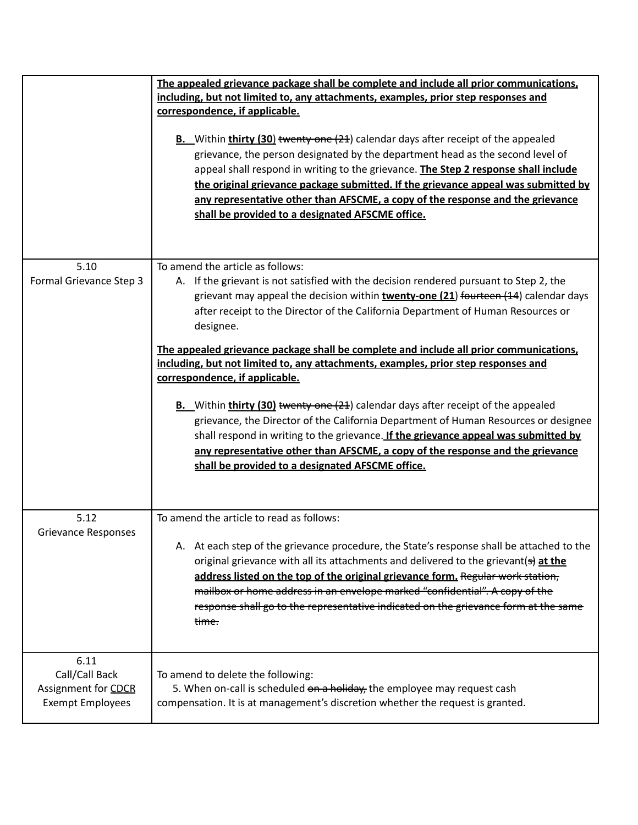|                                                                          | The appealed grievance package shall be complete and include all prior communications,<br>including, but not limited to, any attachments, examples, prior step responses and<br>correspondence, if applicable.<br><b>B.</b> Within <b>thirty (30)</b> twenty-one (21) calendar days after receipt of the appealed<br>grievance, the person designated by the department head as the second level of<br>appeal shall respond in writing to the grievance. The Step 2 response shall include<br>the original grievance package submitted. If the grievance appeal was submitted by<br>any representative other than AFSCME, a copy of the response and the grievance<br>shall be provided to a designated AFSCME office.                                                                                                                                                                                                                                      |
|--------------------------------------------------------------------------|-------------------------------------------------------------------------------------------------------------------------------------------------------------------------------------------------------------------------------------------------------------------------------------------------------------------------------------------------------------------------------------------------------------------------------------------------------------------------------------------------------------------------------------------------------------------------------------------------------------------------------------------------------------------------------------------------------------------------------------------------------------------------------------------------------------------------------------------------------------------------------------------------------------------------------------------------------------|
| 5.10<br>Formal Grievance Step 3                                          | To amend the article as follows:<br>A. If the grievant is not satisfied with the decision rendered pursuant to Step 2, the<br>grievant may appeal the decision within twenty-one (21) fourteen (14) calendar days<br>after receipt to the Director of the California Department of Human Resources or<br>designee.<br>The appealed grievance package shall be complete and include all prior communications,<br>including, but not limited to, any attachments, examples, prior step responses and<br>correspondence, if applicable.<br><b>B.</b> Within <b>thirty (30)</b> twenty one (21) calendar days after receipt of the appealed<br>grievance, the Director of the California Department of Human Resources or designee<br>shall respond in writing to the grievance. If the grievance appeal was submitted by<br>any representative other than AFSCME, a copy of the response and the grievance<br>shall be provided to a designated AFSCME office. |
| 5.12<br><b>Grievance Responses</b>                                       | To amend the article to read as follows:<br>A. At each step of the grievance procedure, the State's response shall be attached to the<br>original grievance with all its attachments and delivered to the grievant(s) at the<br>address listed on the top of the original grievance form. Regular work station,<br>mailbox or home address in an envelope marked "confidential". A copy of the<br>response shall go to the representative indicated on the grievance form at the same<br><del>time.</del>                                                                                                                                                                                                                                                                                                                                                                                                                                                   |
| 6.11<br>Call/Call Back<br>Assignment for CDCR<br><b>Exempt Employees</b> | To amend to delete the following:<br>5. When on-call is scheduled on a holiday, the employee may request cash<br>compensation. It is at management's discretion whether the request is granted.                                                                                                                                                                                                                                                                                                                                                                                                                                                                                                                                                                                                                                                                                                                                                             |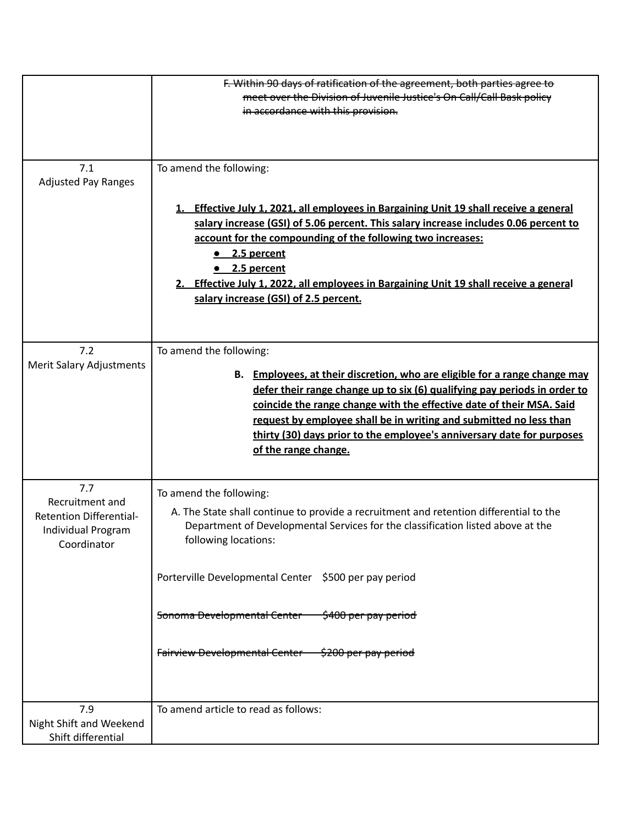|                                                                                               | F. Within 90 days of ratification of the agreement, both parties agree to<br>meet over the Division of Juvenile Justice's On Call/Call Bask policy<br>in accordance with this provision.                                                                                                                                                                                                                                                                                   |
|-----------------------------------------------------------------------------------------------|----------------------------------------------------------------------------------------------------------------------------------------------------------------------------------------------------------------------------------------------------------------------------------------------------------------------------------------------------------------------------------------------------------------------------------------------------------------------------|
| 7.1<br><b>Adjusted Pay Ranges</b>                                                             | To amend the following:<br><b>Effective July 1, 2021, all employees in Bargaining Unit 19 shall receive a general</b><br>1.<br>salary increase (GSI) of 5.06 percent. This salary increase includes 0.06 percent to<br>account for the compounding of the following two increases:<br>$\bullet$ 2.5 percent<br>$\bullet$ 2.5 percent<br>Effective July 1, 2022, all employees in Bargaining Unit 19 shall receive a general<br>2.<br>salary increase (GSI) of 2.5 percent. |
| 7.2<br><b>Merit Salary Adjustments</b>                                                        | To amend the following:<br>B. Employees, at their discretion, who are eligible for a range change may<br>defer their range change up to six (6) qualifying pay periods in order to<br>coincide the range change with the effective date of their MSA. Said<br>request by employee shall be in writing and submitted no less than<br>thirty (30) days prior to the employee's anniversary date for purposes<br>of the range change.                                         |
| 7.7<br>Recruitment and<br><b>Retention Differential-</b><br>Individual Program<br>Coordinator | To amend the following:<br>A. The State shall continue to provide a recruitment and retention differential to the<br>Department of Developmental Services for the classification listed above at the<br>following locations:<br>Porterville Developmental Center \$500 per pay period<br>Sonoma Developmental Center \$400 per pay period<br>Fairview Developmental Center \$200 per pay period                                                                            |
| 7.9<br>Night Shift and Weekend<br>Shift differential                                          | To amend article to read as follows:                                                                                                                                                                                                                                                                                                                                                                                                                                       |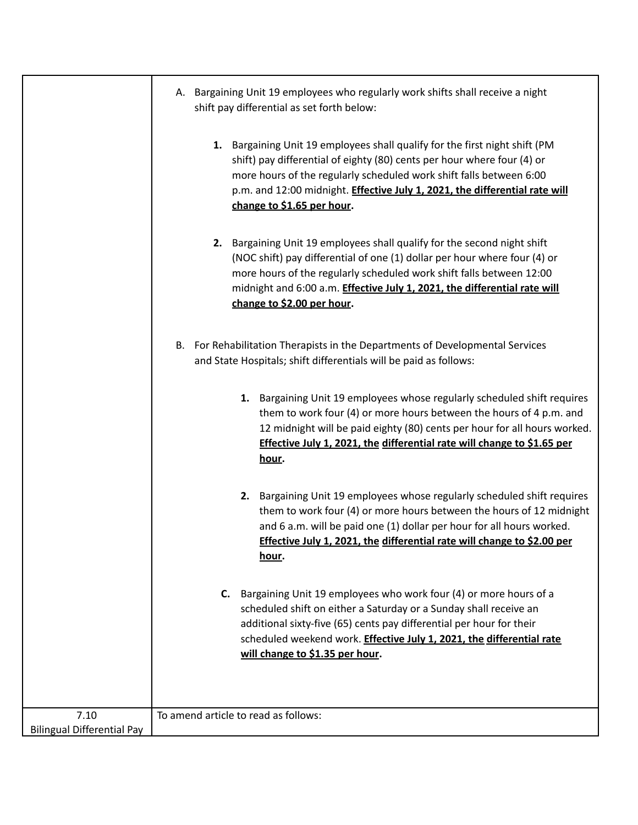|                                           | Bargaining Unit 19 employees who regularly work shifts shall receive a night<br>А.<br>shift pay differential as set forth below:                                                                                                                                                                                                           |
|-------------------------------------------|--------------------------------------------------------------------------------------------------------------------------------------------------------------------------------------------------------------------------------------------------------------------------------------------------------------------------------------------|
|                                           | 1. Bargaining Unit 19 employees shall qualify for the first night shift (PM<br>shift) pay differential of eighty (80) cents per hour where four (4) or<br>more hours of the regularly scheduled work shift falls between 6:00<br>p.m. and 12:00 midnight. Effective July 1, 2021, the differential rate will<br>change to \$1.65 per hour. |
|                                           | 2. Bargaining Unit 19 employees shall qualify for the second night shift<br>(NOC shift) pay differential of one (1) dollar per hour where four (4) or<br>more hours of the regularly scheduled work shift falls between 12:00<br>midnight and 6:00 a.m. Effective July 1, 2021, the differential rate will<br>change to \$2.00 per hour.   |
|                                           | For Rehabilitation Therapists in the Departments of Developmental Services<br>В.<br>and State Hospitals; shift differentials will be paid as follows:                                                                                                                                                                                      |
|                                           | 1. Bargaining Unit 19 employees whose regularly scheduled shift requires<br>them to work four (4) or more hours between the hours of 4 p.m. and<br>12 midnight will be paid eighty (80) cents per hour for all hours worked.<br>Effective July 1, 2021, the differential rate will change to \$1.65 per<br><u>hour</u> .                   |
|                                           | 2. Bargaining Unit 19 employees whose regularly scheduled shift requires<br>them to work four (4) or more hours between the hours of 12 midnight<br>and 6 a.m. will be paid one (1) dollar per hour for all hours worked.<br>Effective July 1, 2021, the differential rate will change to \$2.00 per<br><u>hour</u> .                      |
|                                           | Bargaining Unit 19 employees who work four (4) or more hours of a<br>C.<br>scheduled shift on either a Saturday or a Sunday shall receive an<br>additional sixty-five (65) cents pay differential per hour for their<br>scheduled weekend work. Effective July 1, 2021, the differential rate<br>will change to \$1.35 per hour.           |
| 7.10<br><b>Bilingual Differential Pay</b> | To amend article to read as follows:                                                                                                                                                                                                                                                                                                       |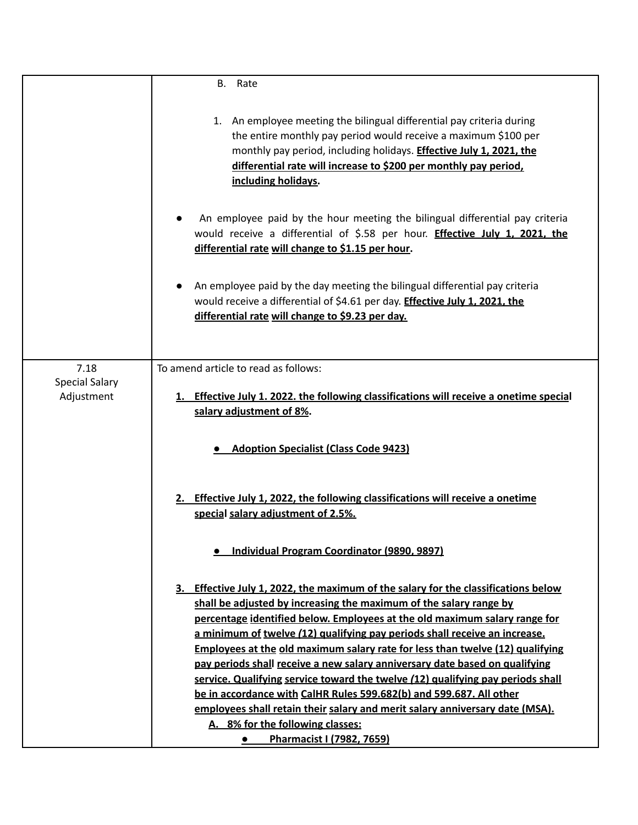|                       | В.<br>Rate                                                                                                                                                                                                                                                                                                                                                                                                                                                                                                                                                                                                                                                                                                                                                         |
|-----------------------|--------------------------------------------------------------------------------------------------------------------------------------------------------------------------------------------------------------------------------------------------------------------------------------------------------------------------------------------------------------------------------------------------------------------------------------------------------------------------------------------------------------------------------------------------------------------------------------------------------------------------------------------------------------------------------------------------------------------------------------------------------------------|
|                       | 1. An employee meeting the bilingual differential pay criteria during<br>the entire monthly pay period would receive a maximum \$100 per<br>monthly pay period, including holidays. <b>Effective July 1, 2021, the</b><br>differential rate will increase to \$200 per monthly pay period,<br>including holidays.                                                                                                                                                                                                                                                                                                                                                                                                                                                  |
|                       | An employee paid by the hour meeting the bilingual differential pay criteria<br>would receive a differential of \$.58 per hour. <b>Effective July 1, 2021, the</b><br>differential rate will change to \$1.15 per hour.                                                                                                                                                                                                                                                                                                                                                                                                                                                                                                                                            |
|                       | An employee paid by the day meeting the bilingual differential pay criteria<br>would receive a differential of \$4.61 per day. <b>Effective July 1, 2021, the</b><br>differential rate will change to \$9.23 per day.                                                                                                                                                                                                                                                                                                                                                                                                                                                                                                                                              |
| 7.18                  | To amend article to read as follows:                                                                                                                                                                                                                                                                                                                                                                                                                                                                                                                                                                                                                                                                                                                               |
| <b>Special Salary</b> |                                                                                                                                                                                                                                                                                                                                                                                                                                                                                                                                                                                                                                                                                                                                                                    |
| Adjustment            | 1. Effective July 1. 2022. the following classifications will receive a onetime special<br>salary adjustment of 8%.                                                                                                                                                                                                                                                                                                                                                                                                                                                                                                                                                                                                                                                |
|                       | <b>Adoption Specialist (Class Code 9423)</b>                                                                                                                                                                                                                                                                                                                                                                                                                                                                                                                                                                                                                                                                                                                       |
|                       | 2. Effective July 1, 2022, the following classifications will receive a onetime<br>special salary adjustment of 2.5%.                                                                                                                                                                                                                                                                                                                                                                                                                                                                                                                                                                                                                                              |
|                       | · Individual Program Coordinator (9890, 9897)                                                                                                                                                                                                                                                                                                                                                                                                                                                                                                                                                                                                                                                                                                                      |
|                       | 3. Effective July 1, 2022, the maximum of the salary for the classifications below<br>shall be adjusted by increasing the maximum of the salary range by<br>percentage identified below. Employees at the old maximum salary range for<br>a minimum of twelve (12) qualifying pay periods shall receive an increase.<br>Employees at the old maximum salary rate for less than twelve (12) qualifying<br>pay periods shall receive a new salary anniversary date based on qualifying<br>service. Qualifying service toward the twelve (12) qualifying pay periods shall<br>be in accordance with CalHR Rules 599.682(b) and 599.687. All other<br>employees shall retain their salary and merit salary anniversary date (MSA).<br>A. 8% for the following classes: |
|                       | Pharmacist I (7982, 7659)                                                                                                                                                                                                                                                                                                                                                                                                                                                                                                                                                                                                                                                                                                                                          |
|                       |                                                                                                                                                                                                                                                                                                                                                                                                                                                                                                                                                                                                                                                                                                                                                                    |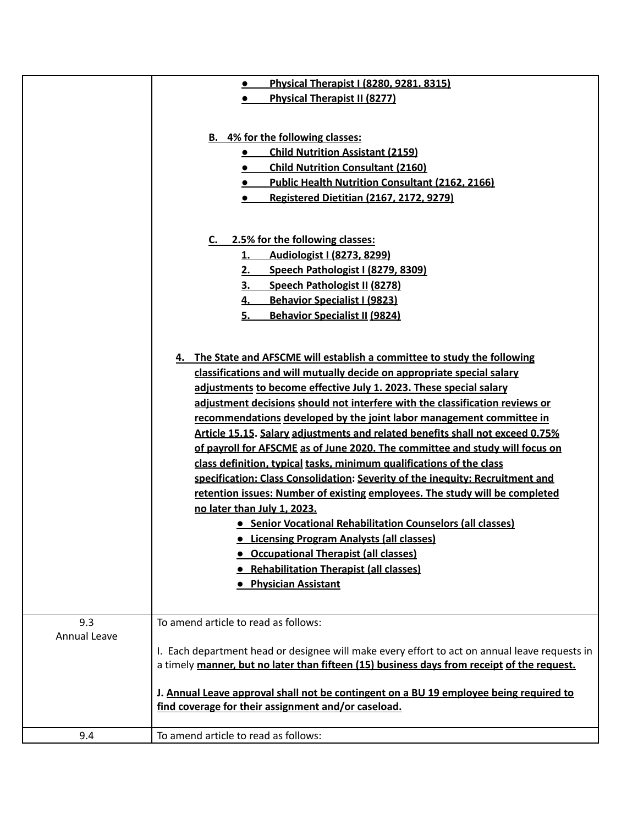|                     | Physical Therapist I (8280, 9281. 8315)                                                       |
|---------------------|-----------------------------------------------------------------------------------------------|
|                     | <b>Physical Therapist II (8277)</b>                                                           |
|                     |                                                                                               |
|                     |                                                                                               |
|                     | <b>B.</b> 4% for the following classes:                                                       |
|                     | <b>Child Nutrition Assistant (2159)</b><br>$\bullet$                                          |
|                     | <b>Child Nutrition Consultant (2160)</b>                                                      |
|                     | <b>Public Health Nutrition Consultant (2162, 2166)</b>                                        |
|                     | <b>Registered Dietitian (2167, 2172, 9279)</b>                                                |
|                     |                                                                                               |
|                     |                                                                                               |
|                     | C. 2.5% for the following classes:                                                            |
|                     | Audiologist I (8273, 8299)<br>1.                                                              |
|                     | Speech Pathologist I (8279, 8309)<br>2.                                                       |
|                     | <b>Speech Pathologist II (8278)</b><br>3.                                                     |
|                     | <b>Behavior Specialist I (9823)</b>                                                           |
|                     | <b>Behavior Specialist II (9824)</b><br>5.                                                    |
|                     |                                                                                               |
|                     | The State and AFSCME will establish a committee to study the following<br>4.                  |
|                     | classifications and will mutually decide on appropriate special salary                        |
|                     | adjustments to become effective July 1. 2023. These special salary                            |
|                     | adjustment decisions should not interfere with the classification reviews or                  |
|                     | recommendations developed by the joint labor management committee in                          |
|                     | Article 15.15. Salary adjustments and related benefits shall not exceed 0.75%                 |
|                     | of payroll for AFSCME as of June 2020. The committee and study will focus on                  |
|                     |                                                                                               |
|                     | class definition, typical tasks, minimum qualifications of the class                          |
|                     | specification: Class Consolidation: Severity of the inequity: Recruitment and                 |
|                     | retention issues: Number of existing employees. The study will be completed                   |
|                     | no later than July 1, 2023.                                                                   |
|                     | • Senior Vocational Rehabilitation Counselors (all classes)                                   |
|                     | • Licensing Program Analysts (all classes)                                                    |
|                     | <b>• Occupational Therapist (all classes)</b>                                                 |
|                     | • Rehabilitation Therapist (all classes)                                                      |
|                     | <b>• Physician Assistant</b>                                                                  |
|                     |                                                                                               |
| 9.3                 | To amend article to read as follows:                                                          |
| <b>Annual Leave</b> |                                                                                               |
|                     | I. Each department head or designee will make every effort to act on annual leave requests in |
|                     | a timely manner, but no later than fifteen (15) business days from receipt of the request.    |
|                     |                                                                                               |
|                     | J. Annual Leave approval shall not be contingent on a BU 19 employee being required to        |
|                     | find coverage for their assignment and/or caseload.                                           |
|                     |                                                                                               |
| 9.4                 | To amend article to read as follows:                                                          |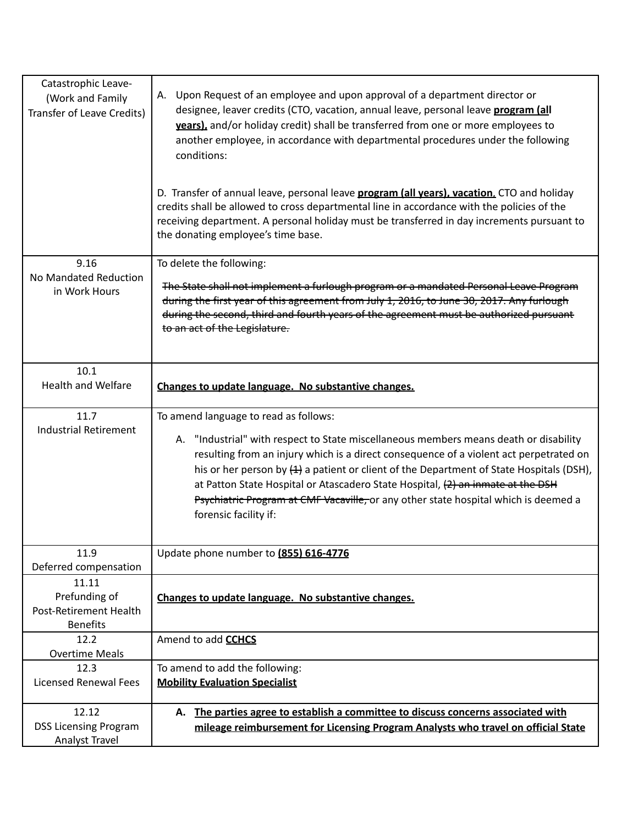| Catastrophic Leave-<br>(Work and Family<br>Transfer of Leave Credits) | Upon Request of an employee and upon approval of a department director or<br>А.<br>designee, leaver credits (CTO, vacation, annual leave, personal leave program (all<br>years), and/or holiday credit) shall be transferred from one or more employees to<br>another employee, in accordance with departmental procedures under the following<br>conditions:<br>D. Transfer of annual leave, personal leave <b>program (all years), vacation</b> , CTO and holiday<br>credits shall be allowed to cross departmental line in accordance with the policies of the<br>receiving department. A personal holiday must be transferred in day increments pursuant to<br>the donating employee's time base. |
|-----------------------------------------------------------------------|-------------------------------------------------------------------------------------------------------------------------------------------------------------------------------------------------------------------------------------------------------------------------------------------------------------------------------------------------------------------------------------------------------------------------------------------------------------------------------------------------------------------------------------------------------------------------------------------------------------------------------------------------------------------------------------------------------|
| 9.16<br>No Mandated Reduction<br>in Work Hours                        | To delete the following:<br>The State shall not implement a furlough program or a mandated Personal Leave Program<br>during the first year of this agreement from July 1, 2016, to June 30, 2017. Any furlough<br>during the second, third and fourth years of the agreement must be authorized pursuant<br>to an act of the Legislature.                                                                                                                                                                                                                                                                                                                                                             |
| 10.1<br><b>Health and Welfare</b>                                     | Changes to update language. No substantive changes.                                                                                                                                                                                                                                                                                                                                                                                                                                                                                                                                                                                                                                                   |
| 11.7<br><b>Industrial Retirement</b>                                  | To amend language to read as follows:<br>A. "Industrial" with respect to State miscellaneous members means death or disability<br>resulting from an injury which is a direct consequence of a violent act perpetrated on<br>his or her person by $(4)$ a patient or client of the Department of State Hospitals (DSH),<br>at Patton State Hospital or Atascadero State Hospital, (2) an inmate at the DSH<br>Psychiatric Program at CMF Vacaville, or any other state hospital which is deemed a<br>forensic facility if:                                                                                                                                                                             |
| 11.9<br>Deferred compensation<br>11.11                                | Update phone number to (855) 616-4776                                                                                                                                                                                                                                                                                                                                                                                                                                                                                                                                                                                                                                                                 |
| Prefunding of<br>Post-Retirement Health<br><b>Benefits</b>            | Changes to update language. No substantive changes.                                                                                                                                                                                                                                                                                                                                                                                                                                                                                                                                                                                                                                                   |
| 12.2<br><b>Overtime Meals</b>                                         | Amend to add <b>CCHCS</b>                                                                                                                                                                                                                                                                                                                                                                                                                                                                                                                                                                                                                                                                             |
| 12.3<br><b>Licensed Renewal Fees</b>                                  | To amend to add the following:<br><b>Mobility Evaluation Specialist</b>                                                                                                                                                                                                                                                                                                                                                                                                                                                                                                                                                                                                                               |
| 12.12<br><b>DSS Licensing Program</b><br>Analyst Travel               | The parties agree to establish a committee to discuss concerns associated with<br>А.<br>mileage reimbursement for Licensing Program Analysts who travel on official State                                                                                                                                                                                                                                                                                                                                                                                                                                                                                                                             |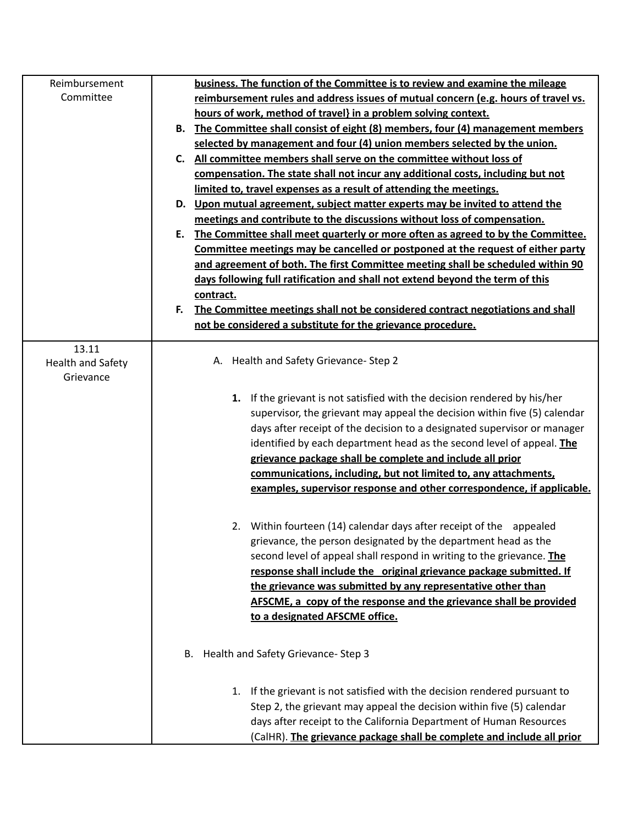| Reimbursement     | business. The function of the Committee is to review and examine the mileage                                                                        |
|-------------------|-----------------------------------------------------------------------------------------------------------------------------------------------------|
| Committee         | reimbursement rules and address issues of mutual concern (e.g. hours of travel vs.                                                                  |
|                   | hours of work, method of travel} in a problem solving context.                                                                                      |
|                   | The Committee shall consist of eight (8) members, four (4) management members<br>В.                                                                 |
|                   | selected by management and four (4) union members selected by the union.                                                                            |
|                   | All committee members shall serve on the committee without loss of<br>C.                                                                            |
|                   | compensation. The state shall not incur any additional costs, including but not                                                                     |
|                   | limited to, travel expenses as a result of attending the meetings.                                                                                  |
|                   | D. Upon mutual agreement, subject matter experts may be invited to attend the                                                                       |
|                   | meetings and contribute to the discussions without loss of compensation.                                                                            |
|                   | The Committee shall meet quarterly or more often as agreed to by the Committee.<br>Ε.                                                               |
|                   | Committee meetings may be cancelled or postponed at the request of either party                                                                     |
|                   | and agreement of both. The first Committee meeting shall be scheduled within 90                                                                     |
|                   | days following full ratification and shall not extend beyond the term of this                                                                       |
|                   | contract.                                                                                                                                           |
|                   | The Committee meetings shall not be considered contract negotiations and shall<br>F.                                                                |
|                   | not be considered a substitute for the grievance procedure.                                                                                         |
| 13.11             |                                                                                                                                                     |
| Health and Safety | A. Health and Safety Grievance-Step 2                                                                                                               |
| Grievance         |                                                                                                                                                     |
|                   |                                                                                                                                                     |
|                   | 1. If the grievant is not satisfied with the decision rendered by his/her                                                                           |
|                   | supervisor, the grievant may appeal the decision within five (5) calendar                                                                           |
|                   | days after receipt of the decision to a designated supervisor or manager                                                                            |
|                   | identified by each department head as the second level of appeal. The                                                                               |
|                   | grievance package shall be complete and include all prior<br>communications, including, but not limited to, any attachments,                        |
|                   | examples, supervisor response and other correspondence, if applicable.                                                                              |
|                   |                                                                                                                                                     |
|                   |                                                                                                                                                     |
|                   | 2. Within fourteen (14) calendar days after receipt of the appealed                                                                                 |
|                   | grievance, the person designated by the department head as the                                                                                      |
|                   | second level of appeal shall respond in writing to the grievance. The                                                                               |
|                   | response shall include the original grievance package submitted. If                                                                                 |
|                   | the grievance was submitted by any representative other than                                                                                        |
|                   | AFSCME, a copy of the response and the grievance shall be provided                                                                                  |
|                   | to a designated AFSCME office.                                                                                                                      |
|                   |                                                                                                                                                     |
|                   | B. Health and Safety Grievance-Step 3                                                                                                               |
|                   |                                                                                                                                                     |
|                   | 1. If the grievant is not satisfied with the decision rendered pursuant to<br>Step 2, the grievant may appeal the decision within five (5) calendar |
|                   |                                                                                                                                                     |
|                   | days after receipt to the California Department of Human Resources                                                                                  |
|                   | (CalHR). The grievance package shall be complete and include all prior                                                                              |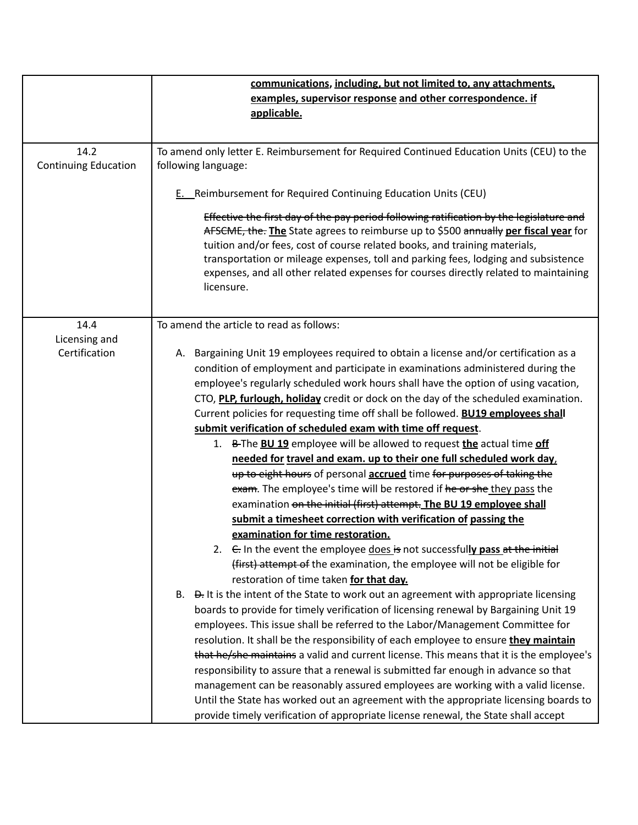|                             | communications, including, but not limited to, any attachments,                                                                                                                                                                                                                                                                                                                                                                                          |
|-----------------------------|----------------------------------------------------------------------------------------------------------------------------------------------------------------------------------------------------------------------------------------------------------------------------------------------------------------------------------------------------------------------------------------------------------------------------------------------------------|
|                             | examples, supervisor response and other correspondence. if                                                                                                                                                                                                                                                                                                                                                                                               |
|                             | applicable.                                                                                                                                                                                                                                                                                                                                                                                                                                              |
|                             |                                                                                                                                                                                                                                                                                                                                                                                                                                                          |
| 14.2                        | To amend only letter E. Reimbursement for Required Continued Education Units (CEU) to the                                                                                                                                                                                                                                                                                                                                                                |
| <b>Continuing Education</b> | following language:                                                                                                                                                                                                                                                                                                                                                                                                                                      |
|                             |                                                                                                                                                                                                                                                                                                                                                                                                                                                          |
|                             | E. Reimbursement for Required Continuing Education Units (CEU)                                                                                                                                                                                                                                                                                                                                                                                           |
|                             | Effective the first day of the pay period following ratification by the legislature and<br>AFSCME, the. The State agrees to reimburse up to \$500 annually per fiscal year for<br>tuition and/or fees, cost of course related books, and training materials,<br>transportation or mileage expenses, toll and parking fees, lodging and subsistence<br>expenses, and all other related expenses for courses directly related to maintaining<br>licensure. |
| 14.4                        | To amend the article to read as follows:                                                                                                                                                                                                                                                                                                                                                                                                                 |
| Licensing and               |                                                                                                                                                                                                                                                                                                                                                                                                                                                          |
| Certification               | A. Bargaining Unit 19 employees required to obtain a license and/or certification as a                                                                                                                                                                                                                                                                                                                                                                   |
|                             | condition of employment and participate in examinations administered during the                                                                                                                                                                                                                                                                                                                                                                          |
|                             | employee's regularly scheduled work hours shall have the option of using vacation,                                                                                                                                                                                                                                                                                                                                                                       |
|                             | CTO, PLP, furlough, holiday credit or dock on the day of the scheduled examination.                                                                                                                                                                                                                                                                                                                                                                      |
|                             | Current policies for requesting time off shall be followed. <b>BU19 employees shall</b>                                                                                                                                                                                                                                                                                                                                                                  |
|                             | submit verification of scheduled exam with time off request.                                                                                                                                                                                                                                                                                                                                                                                             |
|                             | 1. B-The BU 19 employee will be allowed to request the actual time off                                                                                                                                                                                                                                                                                                                                                                                   |
|                             | needed for travel and exam. up to their one full scheduled work day,                                                                                                                                                                                                                                                                                                                                                                                     |
|                             | up to eight hours of personal accrued time for purposes of taking the                                                                                                                                                                                                                                                                                                                                                                                    |
|                             | exam. The employee's time will be restored if he or she they pass the                                                                                                                                                                                                                                                                                                                                                                                    |
|                             | examination on the initial (first) attempt. The BU 19 employee shall                                                                                                                                                                                                                                                                                                                                                                                     |
|                             | submit a timesheet correction with verification of passing the                                                                                                                                                                                                                                                                                                                                                                                           |
|                             | examination for time restoration.                                                                                                                                                                                                                                                                                                                                                                                                                        |
|                             | 2. $\epsilon$ In the event the employee does is not successfully pass at the initial                                                                                                                                                                                                                                                                                                                                                                     |
|                             | (first) attempt of the examination, the employee will not be eligible for                                                                                                                                                                                                                                                                                                                                                                                |
|                             | restoration of time taken for that day.                                                                                                                                                                                                                                                                                                                                                                                                                  |
|                             | B. $\theta$ . It is the intent of the State to work out an agreement with appropriate licensing                                                                                                                                                                                                                                                                                                                                                          |
|                             | boards to provide for timely verification of licensing renewal by Bargaining Unit 19                                                                                                                                                                                                                                                                                                                                                                     |
|                             | employees. This issue shall be referred to the Labor/Management Committee for                                                                                                                                                                                                                                                                                                                                                                            |
|                             | resolution. It shall be the responsibility of each employee to ensure they maintain                                                                                                                                                                                                                                                                                                                                                                      |
|                             | that he/she maintains a valid and current license. This means that it is the employee's                                                                                                                                                                                                                                                                                                                                                                  |
|                             | responsibility to assure that a renewal is submitted far enough in advance so that                                                                                                                                                                                                                                                                                                                                                                       |
|                             | management can be reasonably assured employees are working with a valid license.                                                                                                                                                                                                                                                                                                                                                                         |
|                             | Until the State has worked out an agreement with the appropriate licensing boards to                                                                                                                                                                                                                                                                                                                                                                     |
|                             | provide timely verification of appropriate license renewal, the State shall accept                                                                                                                                                                                                                                                                                                                                                                       |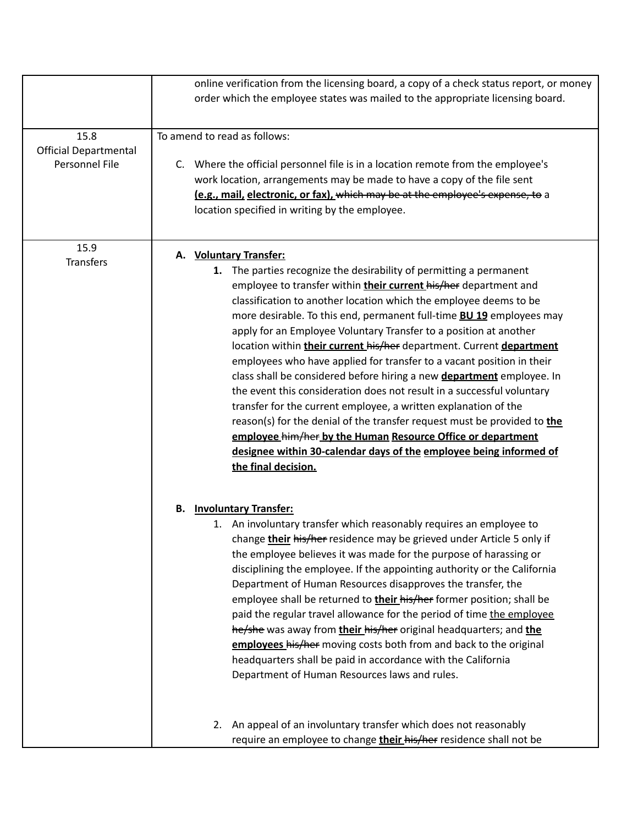|                                                        | online verification from the licensing board, a copy of a check status report, or money<br>order which the employee states was mailed to the appropriate licensing board.                                                                                                                                                                                                                                                                                                                                                                                                                                                                                                                                                                                                                                                                                                                                                                                                                                           |
|--------------------------------------------------------|---------------------------------------------------------------------------------------------------------------------------------------------------------------------------------------------------------------------------------------------------------------------------------------------------------------------------------------------------------------------------------------------------------------------------------------------------------------------------------------------------------------------------------------------------------------------------------------------------------------------------------------------------------------------------------------------------------------------------------------------------------------------------------------------------------------------------------------------------------------------------------------------------------------------------------------------------------------------------------------------------------------------|
| 15.8<br><b>Official Departmental</b><br>Personnel File | To amend to read as follows:<br>Where the official personnel file is in a location remote from the employee's<br>C.<br>work location, arrangements may be made to have a copy of the file sent<br>(e.g., mail, electronic, or fax), which may be at the employee's expense, to a<br>location specified in writing by the employee.                                                                                                                                                                                                                                                                                                                                                                                                                                                                                                                                                                                                                                                                                  |
| 15.9<br><b>Transfers</b>                               | <b>Voluntary Transfer:</b><br>А.<br>1. The parties recognize the desirability of permitting a permanent<br>employee to transfer within their current his/her department and<br>classification to another location which the employee deems to be<br>more desirable. To this end, permanent full-time <b>BU 19</b> employees may<br>apply for an Employee Voluntary Transfer to a position at another<br>location within their current his/her department. Current department<br>employees who have applied for transfer to a vacant position in their<br>class shall be considered before hiring a new department employee. In<br>the event this consideration does not result in a successful voluntary<br>transfer for the current employee, a written explanation of the<br>reason(s) for the denial of the transfer request must be provided to the<br>employee him/her by the Human Resource Office or department<br>designee within 30-calendar days of the employee being informed of<br>the final decision. |
|                                                        | <b>Involuntary Transfer:</b><br>В.<br>1. An involuntary transfer which reasonably requires an employee to<br>change their his/her residence may be grieved under Article 5 only if<br>the employee believes it was made for the purpose of harassing or<br>disciplining the employee. If the appointing authority or the California<br>Department of Human Resources disapproves the transfer, the<br>employee shall be returned to their his/her former position; shall be<br>paid the regular travel allowance for the period of time the employee<br>he/she was away from their his/her original headquarters; and the<br>employees his/her moving costs both from and back to the original<br>headquarters shall be paid in accordance with the California<br>Department of Human Resources laws and rules.                                                                                                                                                                                                     |
|                                                        | 2. An appeal of an involuntary transfer which does not reasonably<br>require an employee to change <b>their his/her</b> residence shall not be                                                                                                                                                                                                                                                                                                                                                                                                                                                                                                                                                                                                                                                                                                                                                                                                                                                                      |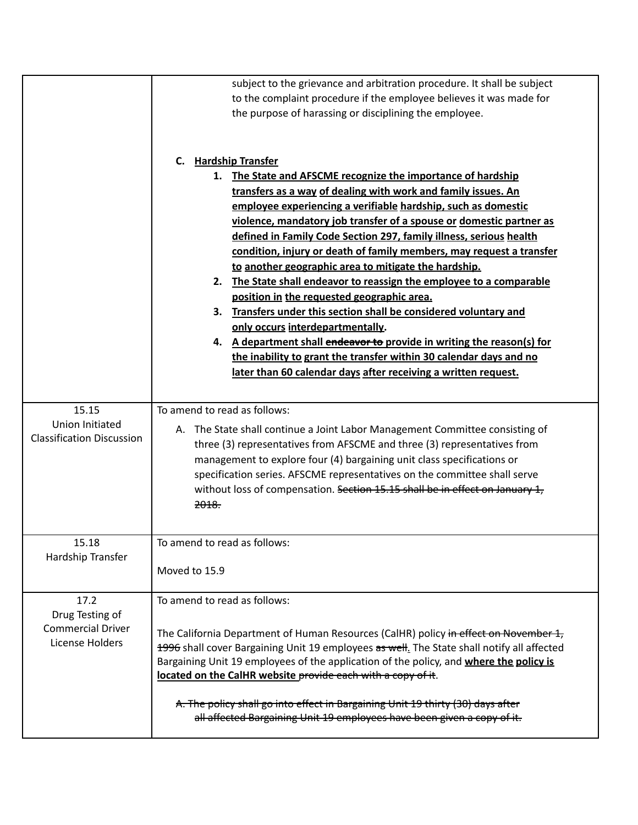|                                                                        | subject to the grievance and arbitration procedure. It shall be subject<br>to the complaint procedure if the employee believes it was made for<br>the purpose of harassing or disciplining the employee.                                                                                                                                                                                                                                                                                                                                                                                                                                                                                                                                                                                                                                                                                                                                                          |
|------------------------------------------------------------------------|-------------------------------------------------------------------------------------------------------------------------------------------------------------------------------------------------------------------------------------------------------------------------------------------------------------------------------------------------------------------------------------------------------------------------------------------------------------------------------------------------------------------------------------------------------------------------------------------------------------------------------------------------------------------------------------------------------------------------------------------------------------------------------------------------------------------------------------------------------------------------------------------------------------------------------------------------------------------|
|                                                                        | <b>Hardship Transfer</b><br>C.<br>1. The State and AFSCME recognize the importance of hardship<br>transfers as a way of dealing with work and family issues. An<br>employee experiencing a verifiable hardship, such as domestic<br>violence, mandatory job transfer of a spouse or domestic partner as<br>defined in Family Code Section 297, family illness, serious health<br>condition, injury or death of family members, may request a transfer<br>to another geographic area to mitigate the hardship.<br>2. The State shall endeavor to reassign the employee to a comparable<br>position in the requested geographic area.<br>3.<br>Transfers under this section shall be considered voluntary and<br>only occurs interdepartmentally.<br>4. A department shall endeavor to provide in writing the reason(s) for<br>the inability to grant the transfer within 30 calendar days and no<br>later than 60 calendar days after receiving a written request. |
| 15.15<br><b>Union Initiated</b><br><b>Classification Discussion</b>    | To amend to read as follows:<br>A. The State shall continue a Joint Labor Management Committee consisting of<br>three (3) representatives from AFSCME and three (3) representatives from<br>management to explore four (4) bargaining unit class specifications or<br>specification series. AFSCME representatives on the committee shall serve<br>without loss of compensation. Section 15.15 shall be in effect on January 1,<br>2018.                                                                                                                                                                                                                                                                                                                                                                                                                                                                                                                          |
| 15.18<br>Hardship Transfer                                             | To amend to read as follows:<br>Moved to 15.9                                                                                                                                                                                                                                                                                                                                                                                                                                                                                                                                                                                                                                                                                                                                                                                                                                                                                                                     |
| 17.2<br>Drug Testing of<br><b>Commercial Driver</b><br>License Holders | To amend to read as follows:<br>The California Department of Human Resources (CalHR) policy in effect on November 1,<br>1996 shall cover Bargaining Unit 19 employees as well. The State shall notify all affected<br>Bargaining Unit 19 employees of the application of the policy, and where the policy is<br>located on the CalHR website provide each with a copy of it.<br>A. The policy shall go into effect in Bargaining Unit 19 thirty (30) days after<br>all affected Bargaining Unit 19 employees have been given a copy of it.                                                                                                                                                                                                                                                                                                                                                                                                                        |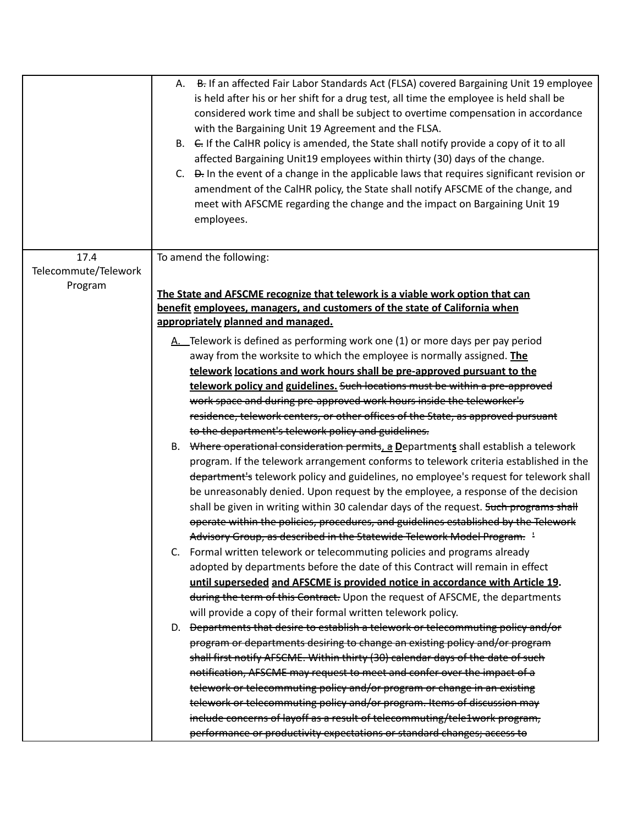|                              | B. If an affected Fair Labor Standards Act (FLSA) covered Bargaining Unit 19 employee<br>А.<br>is held after his or her shift for a drug test, all time the employee is held shall be<br>considered work time and shall be subject to overtime compensation in accordance<br>with the Bargaining Unit 19 Agreement and the FLSA.<br>B. E. If the CalHR policy is amended, the State shall notify provide a copy of it to all<br>affected Bargaining Unit19 employees within thirty (30) days of the change.<br>C. <del>D.</del> In the event of a change in the applicable laws that requires significant revision or<br>amendment of the CalHR policy, the State shall notify AFSCME of the change, and<br>meet with AFSCME regarding the change and the impact on Bargaining Unit 19<br>employees. |
|------------------------------|------------------------------------------------------------------------------------------------------------------------------------------------------------------------------------------------------------------------------------------------------------------------------------------------------------------------------------------------------------------------------------------------------------------------------------------------------------------------------------------------------------------------------------------------------------------------------------------------------------------------------------------------------------------------------------------------------------------------------------------------------------------------------------------------------|
| 17.4<br>Telecommute/Telework | To amend the following:                                                                                                                                                                                                                                                                                                                                                                                                                                                                                                                                                                                                                                                                                                                                                                              |
| Program                      | The State and AFSCME recognize that telework is a viable work option that can                                                                                                                                                                                                                                                                                                                                                                                                                                                                                                                                                                                                                                                                                                                        |
|                              | benefit employees, managers, and customers of the state of California when                                                                                                                                                                                                                                                                                                                                                                                                                                                                                                                                                                                                                                                                                                                           |
|                              | appropriately planned and managed.                                                                                                                                                                                                                                                                                                                                                                                                                                                                                                                                                                                                                                                                                                                                                                   |
|                              | A. Telework is defined as performing work one (1) or more days per pay period                                                                                                                                                                                                                                                                                                                                                                                                                                                                                                                                                                                                                                                                                                                        |
|                              | away from the worksite to which the employee is normally assigned. The                                                                                                                                                                                                                                                                                                                                                                                                                                                                                                                                                                                                                                                                                                                               |
|                              | telework locations and work hours shall be pre-approved pursuant to the                                                                                                                                                                                                                                                                                                                                                                                                                                                                                                                                                                                                                                                                                                                              |
|                              | telework policy and guidelines. Such locations must be within a pre-approved                                                                                                                                                                                                                                                                                                                                                                                                                                                                                                                                                                                                                                                                                                                         |
|                              | work space and during pre-approved work hours inside the teleworker's                                                                                                                                                                                                                                                                                                                                                                                                                                                                                                                                                                                                                                                                                                                                |
|                              | residence, telework centers, or other offices of the State, as approved pursuant                                                                                                                                                                                                                                                                                                                                                                                                                                                                                                                                                                                                                                                                                                                     |
|                              | to the department's telework policy and guidelines.                                                                                                                                                                                                                                                                                                                                                                                                                                                                                                                                                                                                                                                                                                                                                  |
|                              | B. Where operational consideration permits, a Departments shall establish a telework                                                                                                                                                                                                                                                                                                                                                                                                                                                                                                                                                                                                                                                                                                                 |
|                              | program. If the telework arrangement conforms to telework criteria established in the                                                                                                                                                                                                                                                                                                                                                                                                                                                                                                                                                                                                                                                                                                                |
|                              | department's telework policy and guidelines, no employee's request for telework shall                                                                                                                                                                                                                                                                                                                                                                                                                                                                                                                                                                                                                                                                                                                |
|                              | be unreasonably denied. Upon request by the employee, a response of the decision                                                                                                                                                                                                                                                                                                                                                                                                                                                                                                                                                                                                                                                                                                                     |
|                              | shall be given in writing within 30 calendar days of the request. Such programs shall                                                                                                                                                                                                                                                                                                                                                                                                                                                                                                                                                                                                                                                                                                                |
|                              | operate within the policies, procedures, and guidelines established by the Telework<br>Advisory Group, as described in the Statewide Telework Model Program. <sup>1</sup>                                                                                                                                                                                                                                                                                                                                                                                                                                                                                                                                                                                                                            |
|                              | C. Formal written telework or telecommuting policies and programs already                                                                                                                                                                                                                                                                                                                                                                                                                                                                                                                                                                                                                                                                                                                            |
|                              | adopted by departments before the date of this Contract will remain in effect                                                                                                                                                                                                                                                                                                                                                                                                                                                                                                                                                                                                                                                                                                                        |
|                              | until superseded and AFSCME is provided notice in accordance with Article 19.                                                                                                                                                                                                                                                                                                                                                                                                                                                                                                                                                                                                                                                                                                                        |
|                              | during the term of this Contract. Upon the request of AFSCME, the departments                                                                                                                                                                                                                                                                                                                                                                                                                                                                                                                                                                                                                                                                                                                        |
|                              | will provide a copy of their formal written telework policy.                                                                                                                                                                                                                                                                                                                                                                                                                                                                                                                                                                                                                                                                                                                                         |
|                              | D. <del>Departments that desire to establish a telework or telecommuting policy and/or</del>                                                                                                                                                                                                                                                                                                                                                                                                                                                                                                                                                                                                                                                                                                         |
|                              | program or departments desiring to change an existing policy and/or program                                                                                                                                                                                                                                                                                                                                                                                                                                                                                                                                                                                                                                                                                                                          |
|                              | shall first notify AFSCME. Within thirty (30) calendar days of the date of such                                                                                                                                                                                                                                                                                                                                                                                                                                                                                                                                                                                                                                                                                                                      |
|                              | notification, AFSCME may request to meet and confer over the impact of a                                                                                                                                                                                                                                                                                                                                                                                                                                                                                                                                                                                                                                                                                                                             |
|                              | telework or telecommuting policy and/or program or change in an existing                                                                                                                                                                                                                                                                                                                                                                                                                                                                                                                                                                                                                                                                                                                             |
|                              | telework or telecommuting policy and/or program. Items of discussion may                                                                                                                                                                                                                                                                                                                                                                                                                                                                                                                                                                                                                                                                                                                             |
|                              | include concerns of layoff as a result of telecommuting/tele1work program,                                                                                                                                                                                                                                                                                                                                                                                                                                                                                                                                                                                                                                                                                                                           |
|                              | performance or productivity expectations or standard changes; access to                                                                                                                                                                                                                                                                                                                                                                                                                                                                                                                                                                                                                                                                                                                              |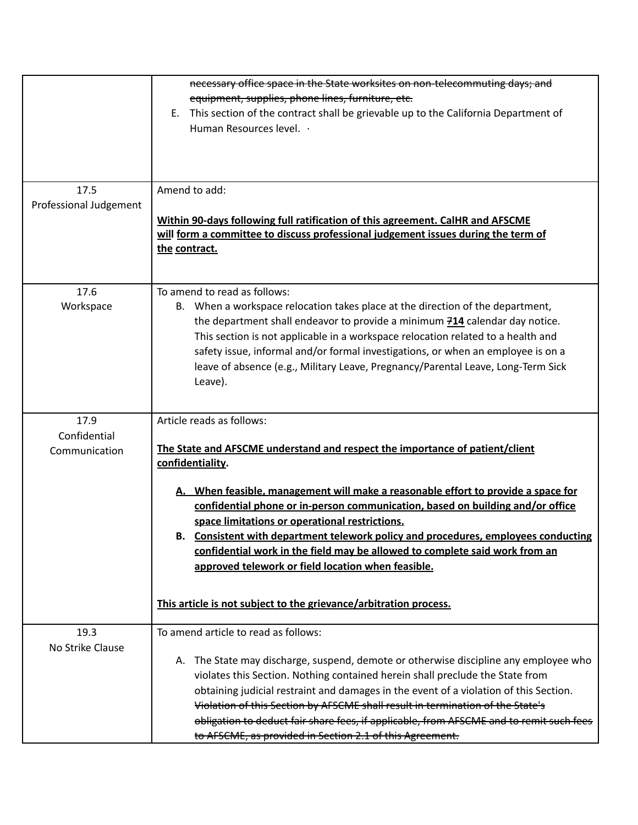| 17.5<br>Professional Judgement        | necessary office space in the State worksites on non-telecommuting days; and<br>equipment, supplies, phone lines, furniture, etc.<br>This section of the contract shall be grievable up to the California Department of<br>E.<br>Human Resources level. .<br>Amend to add:<br>Within 90-days following full ratification of this agreement. CalHR and AFSCME<br>will form a committee to discuss professional judgement issues during the term of<br>the contract.                                                                                                                   |
|---------------------------------------|--------------------------------------------------------------------------------------------------------------------------------------------------------------------------------------------------------------------------------------------------------------------------------------------------------------------------------------------------------------------------------------------------------------------------------------------------------------------------------------------------------------------------------------------------------------------------------------|
| 17.6<br>Workspace                     | To amend to read as follows:<br>B. When a workspace relocation takes place at the direction of the department,<br>the department shall endeavor to provide a minimum $\frac{714}{714}$ calendar day notice.<br>This section is not applicable in a workspace relocation related to a health and<br>safety issue, informal and/or formal investigations, or when an employee is on a<br>leave of absence (e.g., Military Leave, Pregnancy/Parental Leave, Long-Term Sick<br>Leave).                                                                                                   |
| 17.9<br>Confidential<br>Communication | Article reads as follows:<br>The State and AFSCME understand and respect the importance of patient/client<br>confidentiality.<br>A. When feasible, management will make a reasonable effort to provide a space for<br>confidential phone or in-person communication, based on building and/or office<br>space limitations or operational restrictions.<br>Consistent with department telework policy and procedures, employees conducting<br>В.<br>confidential work in the field may be allowed to complete said work from an<br>approved telework or field location when feasible. |
|                                       | This article is not subject to the grievance/arbitration process.                                                                                                                                                                                                                                                                                                                                                                                                                                                                                                                    |
| 19.3<br>No Strike Clause              | To amend article to read as follows:<br>A. The State may discharge, suspend, demote or otherwise discipline any employee who<br>violates this Section. Nothing contained herein shall preclude the State from<br>obtaining judicial restraint and damages in the event of a violation of this Section.<br>Violation of this Section by AFSCME shall result in termination of the State's<br>obligation to deduct fair share fees, if applicable, from AFSCME and to remit such fees<br>to AFSCME, as provided in Section 2.1 of this Agreement.                                      |